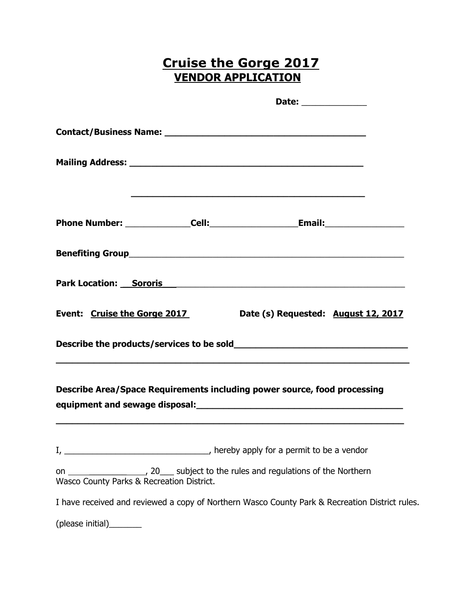## **Cruise the Gorge 2017 VENDOR APPLICATION**

|                          |                                           | Date: ______________                                                                                                 |  |
|--------------------------|-------------------------------------------|----------------------------------------------------------------------------------------------------------------------|--|
|                          |                                           |                                                                                                                      |  |
|                          |                                           |                                                                                                                      |  |
|                          |                                           |                                                                                                                      |  |
|                          |                                           |                                                                                                                      |  |
|                          |                                           |                                                                                                                      |  |
|                          |                                           | Park Location: Sororis Sororis And Alexander And Alexander And Alexander And Alexander And Alexander And Alexander A |  |
|                          | Event: Cruise the Gorge 2017              | Date (s) Requested: August 12, 2017                                                                                  |  |
|                          |                                           |                                                                                                                      |  |
|                          |                                           | Describe Area/Space Requirements including power source, food processing                                             |  |
|                          |                                           |                                                                                                                      |  |
|                          | Wasco County Parks & Recreation District. | on ______________________, 20____ subject to the rules and regulations of the Northern                               |  |
|                          |                                           | I have received and reviewed a copy of Northern Wasco County Park & Recreation District rules.                       |  |
| (please initial)________ |                                           |                                                                                                                      |  |